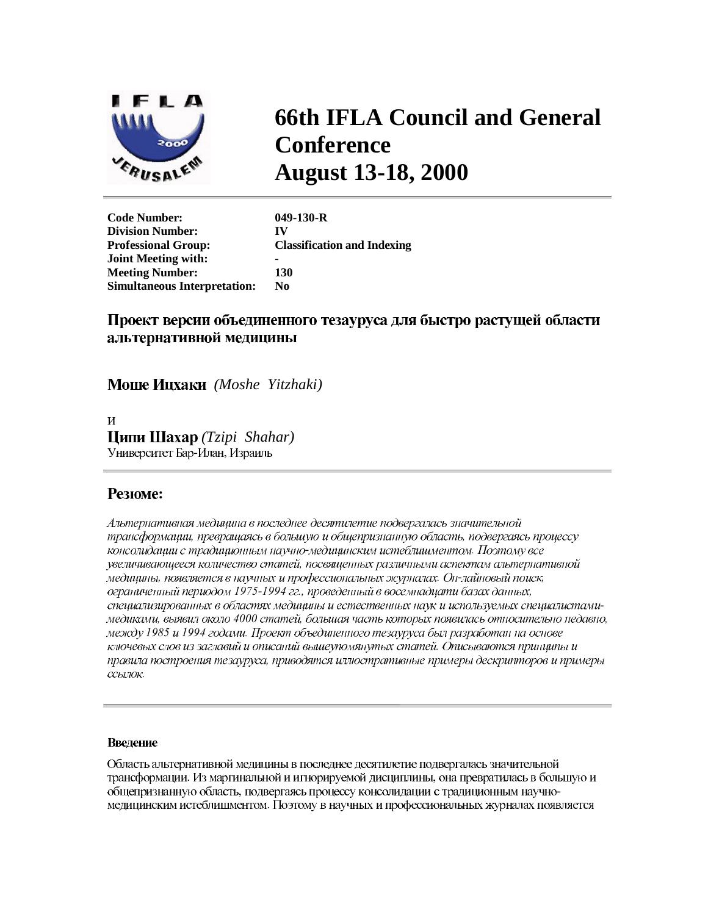

# **66th IFLA Council and General Conference August 13-18, 2000**

**Code Number: 049-130-R Division Number: IV Professional Group: Classification and Indexing Joint Meeting with:** - **Meeting Number: 130 Simultaneous Interpretation: No** 

## Проект версии объединенного тезауруса для быстро растущей области альтернативной медицины

*(Moshe Yitzhaki)* 

 $\overline{\mathbf{M}}$ *(Tzipi Shahar)* Университет Бар-Илан, Израиль

## Резюме:

Альтернативная медицина в последнее десятилетие подвергалась значительной трансформации, превращаясь в большую и общепризнанную область, подвергаясь процессу консолидации с традиционным научно-медицинским истеблишментом. Поэтому все увеличивающееся количество статей, посвященных различными аспектам альтернативной медицины, появляется в научных и профессиональных журналах. Он-лайновый поиск, ограниченный периодом 1975-1994 гг., проведенный в восемнадцати базах данных, специализированных в областях медицины и естественных наук и используемых специалистамимедиками, выявил около 4000 статей, большая часть которых появилась относительно недавно, между 1985 и 1994 годами. Проект объединенного тезауруса был разработан на основе ключевых слов из заглавий и описаний вышеупомянутых статей. Описываются принципы и правила построения тезауруса, приводятся иллюстративные примеры дескрипторов и примеры ссылок.

### Введение

Область альтернативной медицины в последнее десятилетие подвергалась значительной трансформации. Из маргинальной и игнорируемой дисциплины, она превратилась в большую и общепризнанную область, подвергаясь процессу консолидации с традиционным научномедицинским истеблишментом. Поэтому в научных и профессиональных журналах появляется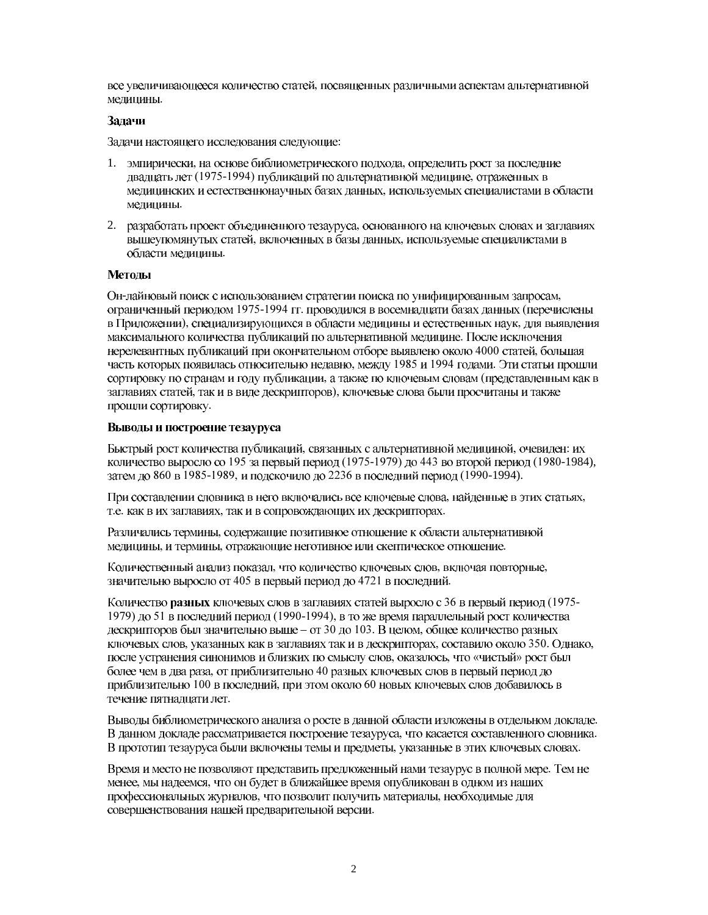все увеличивающееся количество статей, посвященных различными аспектам альтернативной медицины.

#### Задачи

Задачи настоящего исследования следующие:

- 1. эмпирически, на основе библиометрического подхода, определить рост за последние двадцать лет (1975-1994) публикаций по альтернативной медицине, отраженных в медицинских и естественнонаучных базах данных, используемых специалистами в области медицины.
- 2. разработать проект объединенного тезауруса, основанного на ключевых словах и заглавиях вышеупомянутых статей, включенных в базы данных, используемые специалистами в области медицины.

#### Методы

Он-лайновый поиск с использованием стратегии поиска по унифицированным запросам, ограниченный периодом 1975-1994 гг. проводился в восемнадцати базах данных (перечислены в Приложении), специализирующихся в области медицины и естественных наук, для выявления максимального количества публикаций по альтернативной медицине. После исключения нерелевантных публикаций при окончательном отборе выявлено около 4000 статей, большая часть которых появилась относительно недавно, между 1985 и 1994 годами. Эти статьи прошли сортировку по странам и году публикации, а также по ключевым словам (представленным как в заглавиях статей, так и в виде дескрипторов), ключевые слова были просчитаны и также прошли сортировку.

#### Выводы и построение тезауруса

Быстрый рост количества публикаций, связанных с альтернативной медициной, очевиден: их количество выросло со 195 за первый период (1975-1979) до 443 во второй период (1980-1984), затем до 860 в 1985-1989, и подскочило до 2236 в последний период (1990-1994).

При составлении словника в него включались все ключевые слова, найденные в этих статьях, т.е. как в их заглавиях, так и в сопровождающих их дескрипторах.

Различались термины, содержащие позитивное отношение к области альтернативной медицины, и термины, отражающие неготивное или скептическое отношение.

Количественный анализ показал, что количество ключевых слов, включая повторные, значительно выросло от 405 в первый период до 4721 в последний.

Количество разных ключевых слов в заглавиях статей выросло с 36 в первый период (1975-1979) до 51 в последний период (1990-1994), в то же время параллельный рост количества дескрипторов был значительно выше - от 30 до 103. В целом, общее количество разных ключевых слов, указанных как в заглавиях так и в дескрипторах, составило около 350. Однако, после устранения синонимов и близких по смыслу слов, оказалось, что «чистый» рост был более чем в два раза, от приблизительно 40 разных ключевых слов в первый период до приблизительно 100 в последний, при этом около 60 новых ключевых слов добавилось в течение пятнадцати лет.

Выводы библиометрического анализа о росте в данной области изложены в отдельном докладе. В данном докладе рассматривается построение тезауруса, что касается составленного словника. В прототип тезауруса были включены темы и предметы, указанные в этих ключевых словах.

Время и место не позволяют представить предложенный нами тезаурус в полной мере. Тем не менее, мы надеемся, что он будет в ближайшее время опубликован в одном из наших профессиональных журналов, что позволит получить материалы, необходимые для совершенствования нашей предварительной версии.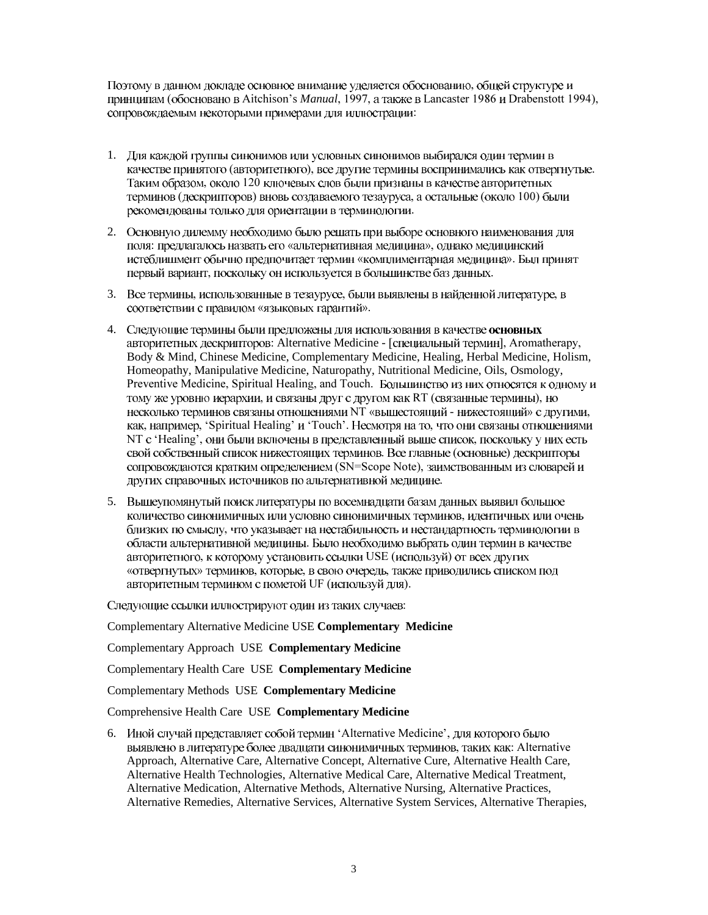Поэтому в данном докладе основное внимание уделяется обоснованию, общей структуре и принципам (обосновано в Aitchison's *Manual*, 1997, а также в Lancaster 1986 и Drabenstott 1994), сопровождаемым некоторыми примерами для иллюстрации:

- 1. Для каждой группы синонимов или условных синонимов выбирался один термин в качестве принятого (авторитетного), все другие термины воспринимались как отвергнутые. Таким образом, около 120 ключевых слов были признаны в качестве авторитетных терминов (дескрипторов) вновь создаваемого тезауруса, а остальные (около 100) были рекомендованы только для ориентации в терминологии.
- 2. Основную дилемму необходимо было решать при выборе основного наименования для поля: предлагалось назвать его «альтернативная медицина», однако медицинский истеблишмент обычно предпочитает термин «комплиментарная медицина». Был принят первый вариант, поскольку он используется в большинстве баз данных.
- 3. Все термины, использованные в тезаурусе, были выявлены в найденной литературе, в соответствии с правилом «языковых гарантий».
- 4. Следующие термины были предложены для использования в качестве основных авторитетных дескрипторов: Alternative Medicine - [специальный термин], Aromatherapy, Body & Mind, Chinese Medicine, Complementary Medicine, Healing, Herbal Medicine, Holism, Homeopathy, Manipulative Medicine, Naturopathy, Nutritional Medicine, Oils, Osmology, Preventive Medicine, Spiritual Healing, and Touch. Большинство из них относятся к одному и тому же уровню иерархии, и связаны друг с другом как RT (связанные термины), но несколько терминов связаны отношениями NT «вышестоящий - нижестоящий» с другими, как, например, 'Spiritual Healing' и 'Touch'. Несмотря на то, что они связаны отношениями NT с 'Healing', они были включены в представленный выше список, поскольку у них есть свой собственный список нижестоящих терминов. Все главные (основные) дескрипторы сопровождаются кратким определением (SN=Scope Note), заимствованным из словарей и других справочных источников по альтернативной медицине.
- 5. Вышеупомянутый поиск литературы по восемнадцати базам данных выявил большое количество синонимичных или условно синонимичных терминов, идентичных или очень близких по смыслу, что указывает на нестабильность и нестандартность терминологии в области альтернативной медицины. Было необходимо выбрать один термин в качестве авторитетного, к которому установить ссылки USE (используй) от всех других «отвергнутых» терминов, которые, в свою очередь, также приводились списком под авторитетным термином с пометой UF (используй для).

Следующие ссылки иллюстрируют один из таких случаев:

Complementary Alternative Medicine USE **Complementary Medicine** 

Complementary Approach USE **Complementary Medicine** 

Complementary Health Care USE **Complementary Medicine** 

Complementary Methods USE **Complementary Medicine** 

Comprehensive Health Care USE **Complementary Medicine** 

6. Иной случай представляет собой термин 'Alternative Medicine', для которого было выявлено в литературе более двадцати синонимичных терминов, таких как: Alternative Approach, Alternative Care, Alternative Concept, Alternative Cure, Alternative Health Care, Alternative Health Technologies, Alternative Medical Care, Alternative Medical Treatment, Alternative Medication, Alternative Methods, Alternative Nursing, Alternative Practices, Alternative Remedies, Alternative Services, Alternative System Services, Alternative Therapies,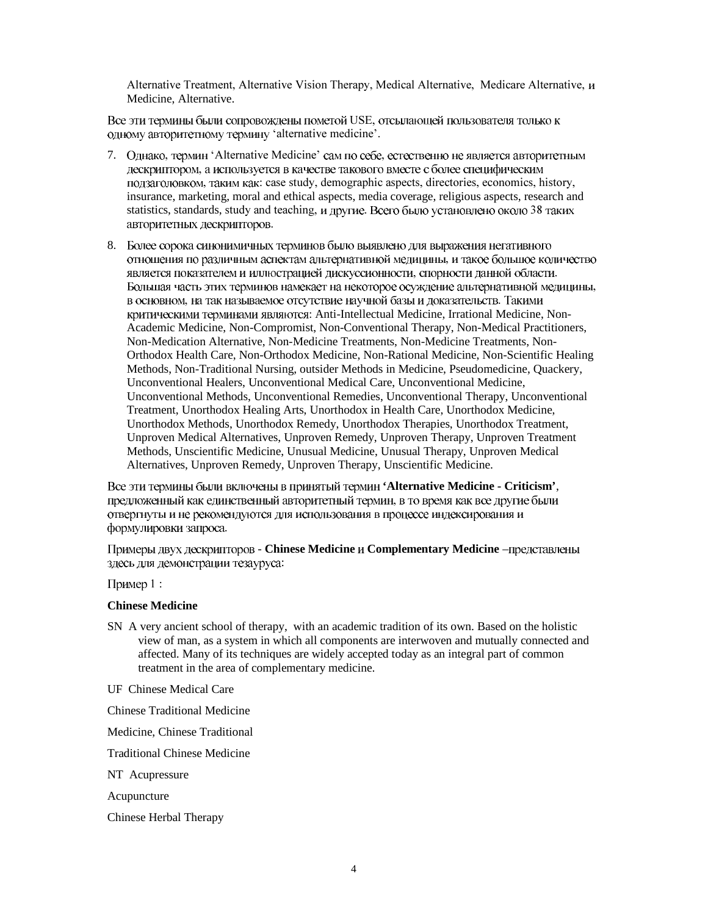Alternative Treatment, Alternative Vision Therapy, Medical Alternative, Medicare Alternative,  $\mu$ Medicine, Alternative.

Все эти термины были сопровождены пометой USE, отсылающей пользователя только к одному авторитетному термину 'alternative medicine'.

- 7. Однако, термин 'Alternative Medicine' сам по себе, естественно не является авторитетным дескриптором, а используется в качестве такового вместе с более специфическим подзаголовком, таким как; case study, demographic aspects, directories, economics, history, insurance, marketing, moral and ethical aspects, media coverage, religious aspects, research and statistics, standards, study and teaching, и другие. Всего было установлено около 38 таких авторитетных дескрипторов.
- 8. Более сорока синонимичных терминов было выявлено для выражения негативного отношения по различным аспектам альтернативной медицины, и такое большое количество является показателем и иллюстрацией дискуссионности, спорности данной области. Большая часть этих терминов намекает на некоторое осуждение альтернативной медицины, в основном, на так называемое отсутствие научной базы и доказательств. Такими критическими терминами являются: Anti-Intellectual Medicine, Irrational Medicine, Non-Academic Medicine, Non-Compromist, Non-Conventional Therapy, Non-Medical Practitioners, Non-Medication Alternative, Non-Medicine Treatments, Non-Medicine Treatments, Non-Orthodox Health Care, Non-Orthodox Medicine, Non-Rational Medicine, Non-Scientific Healing Methods, Non-Traditional Nursing, outsider Methods in Medicine, Pseudomedicine, Quackery, Unconventional Healers, Unconventional Medical Care, Unconventional Medicine, Unconventional Methods, Unconventional Remedies, Unconventional Therapy, Unconventional Treatment, Unorthodox Healing Arts, Unorthodox in Health Care, Unorthodox Medicine, Unorthodox Methods, Unorthodox Remedy, Unorthodox Therapies, Unorthodox Treatment, Unproven Medical Alternatives, Unproven Remedy, Unproven Therapy, Unproven Treatment Methods, Unscientific Medicine, Unusual Medicine, Unusual Therapy, Unproven Medical Alternatives, Unproven Remedy, Unproven Therapy, Unscientific Medicine.

**'Alternative Medicine - Criticism'**, предложенный как единственный авторитетный термин, в то время как все другие были отвергнуты и не рекомендуются для использования в процессе индексирования и формулировки запроса.

Примеры двух дескрипторов - **Chinese Medicine** и **Complementary Medicine** –представлены здесь для демонстрации тезауруса:

Пример 1:

#### **Chinese Medicine**

SN A very ancient school of therapy, with an academic tradition of its own. Based on the holistic view of man, as a system in which all components are interwoven and mutually connected and affected. Many of its techniques are widely accepted today as an integral part of common treatment in the area of complementary medicine.

UF Chinese Medical Care

Chinese Traditional Medicine

Medicine, Chinese Traditional

Traditional Chinese Medicine

NT Acupressure

Acupuncture

Chinese Herbal Therapy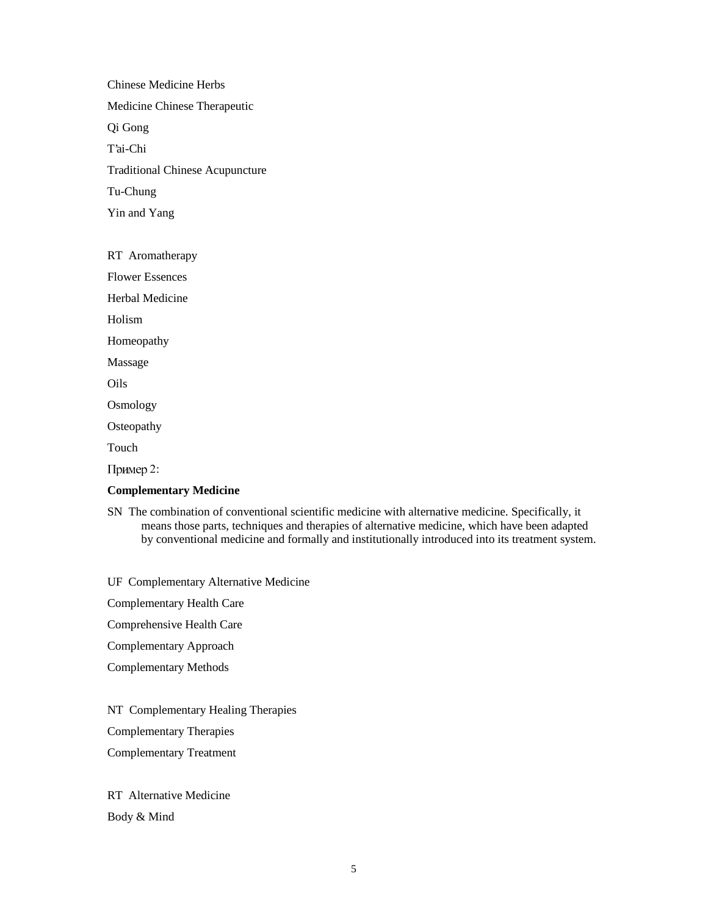Chinese Medicine Herbs Medicine Chinese Therapeutic Qi Gong T'ai-Chi Traditional Chinese Acupuncture Tu-Chung Yin and Yang

RT Aromatherapy Flower Essences Herbal Medicine Holism Homeopathy Massage Oils **Osmology Osteopathy** Touch Пример 2:

#### **Complementary Medicine**

SN The combination of conventional scientific medicine with alternative medicine. Specifically, it means those parts, techniques and therapies of alternative medicine, which have been adapted by conventional medicine and formally and institutionally introduced into its treatment system.

UF Complementary Alternative Medicine

Complementary Health Care

Comprehensive Health Care

Complementary Approach

Complementary Methods

NT Complementary Healing Therapies

Complementary Therapies

Complementary Treatment

RT Alternative Medicine Body & Mind